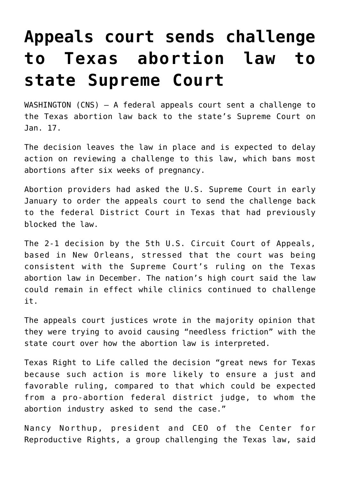## **[Appeals court sends challenge](https://www.osvnews.com/2022/01/18/appeals-court-sends-challenge-to-texas-abortion-law-to-state-supreme-court/) [to Texas abortion law to](https://www.osvnews.com/2022/01/18/appeals-court-sends-challenge-to-texas-abortion-law-to-state-supreme-court/) [state Supreme Court](https://www.osvnews.com/2022/01/18/appeals-court-sends-challenge-to-texas-abortion-law-to-state-supreme-court/)**

WASHINGTON (CNS) — A federal appeals court sent a challenge to the Texas abortion law back to the state's Supreme Court on Jan. 17.

The decision leaves the law in place and is expected to delay action on reviewing a challenge to this law, which bans most abortions after six weeks of pregnancy.

Abortion providers had asked the U.S. Supreme Court in early January to order the appeals court to send the challenge back to the federal District Court in Texas that had previously blocked the law.

The 2-1 decision by the 5th U.S. Circuit Court of Appeals, based in New Orleans, stressed that the court was being consistent with the Supreme Court's ruling on the Texas abortion law in December. The nation's high court said the law could remain in effect while clinics continued to challenge it.

The appeals court justices wrote in the majority opinion that they were trying to avoid causing "needless friction" with the state court over how the abortion law is interpreted.

Texas Right to Life called the decision "great news for Texas because such action is more likely to ensure a just and favorable ruling, compared to that which could be expected from a pro-abortion federal district judge, to whom the abortion industry asked to send the case."

Nancy Northup, president and CEO of the Center for Reproductive Rights, a group challenging the Texas law, said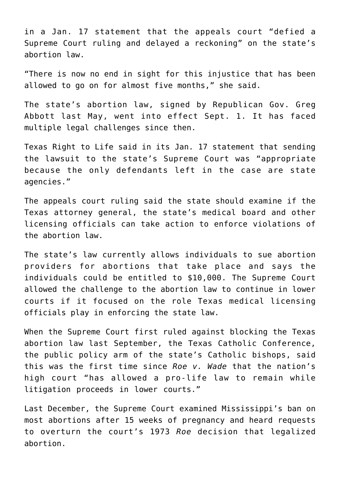in a Jan. 17 statement that the appeals court "defied a Supreme Court ruling and delayed a reckoning" on the state's abortion law.

"There is now no end in sight for this injustice that has been allowed to go on for almost five months," she said.

The state's abortion law, signed by Republican Gov. Greg Abbott last May, went into effect Sept. 1. It has faced multiple legal challenges since then.

Texas Right to Life said in its Jan. 17 statement that sending the lawsuit to the state's Supreme Court was "appropriate because the only defendants left in the case are state agencies."

The appeals court ruling said the state should examine if the Texas attorney general, the state's medical board and other licensing officials can take action to enforce violations of the abortion law.

The state's law currently allows individuals to sue abortion providers for abortions that take place and says the individuals could be entitled to \$10,000. The Supreme Court allowed the challenge to the abortion law to continue in lower courts if it focused on the role Texas medical licensing officials play in enforcing the state law.

When the Supreme Court first ruled against blocking the Texas abortion law last September, the Texas Catholic Conference, the public policy arm of the state's Catholic bishops, said this was the first time since *Roe v. Wade* that the nation's high court "has allowed a pro-life law to remain while litigation proceeds in lower courts."

Last December, the Supreme Court examined Mississippi's ban on most abortions after 15 weeks of pregnancy and heard requests to overturn the court's 1973 *Roe* decision that legalized abortion.